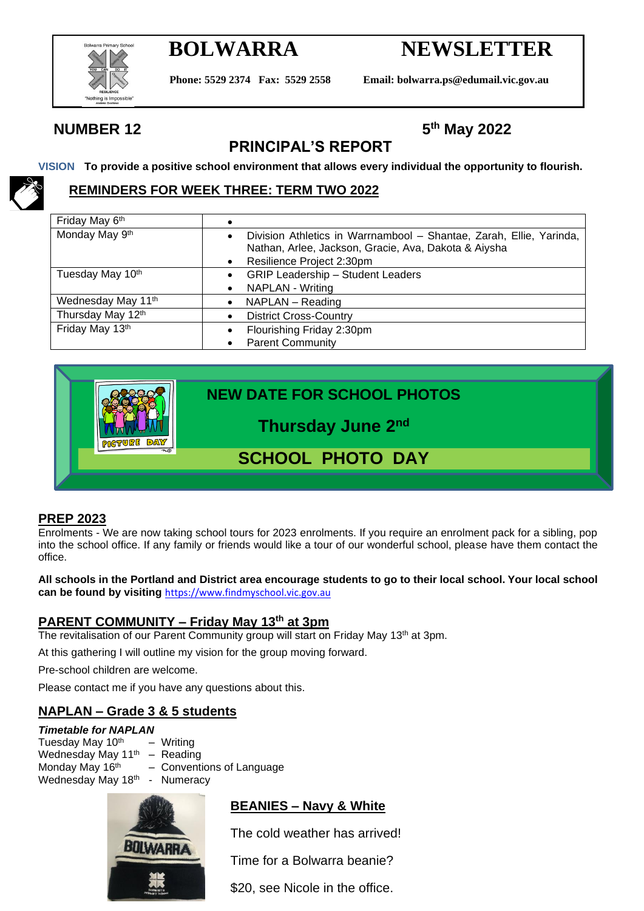

# **BOLWARRA NEWSLETTER**

**Phone: 5529 2374 Fax: 5529 2558 Email: bolwarra.ps@edumail.vic.gov.au**

**th May 2022**

# **NUMBER 12**

# **PRINCIPAL'S REPORT**

**VISION To provide a positive school environment that allows every individual the opportunity to flourish.**

# **REMINDERS FOR WEEK THREE: TERM TWO 2022**

| Friday May 6th     |           |                                                                     |  |  |  |
|--------------------|-----------|---------------------------------------------------------------------|--|--|--|
| Monday May 9th     | $\bullet$ | Division Athletics in Warrnambool - Shantae, Zarah, Ellie, Yarinda, |  |  |  |
|                    |           | Nathan, Arlee, Jackson, Gracie, Ava, Dakota & Aiysha                |  |  |  |
|                    |           | Resilience Project 2:30pm                                           |  |  |  |
| Tuesday May 10th   |           | <b>GRIP Leadership - Student Leaders</b>                            |  |  |  |
|                    |           | NAPLAN - Writing                                                    |  |  |  |
| Wednesday May 11th | $\bullet$ | NAPLAN - Reading                                                    |  |  |  |
| Thursday May 12th  |           | <b>District Cross-Country</b>                                       |  |  |  |
| Friday May 13th    |           | Flourishing Friday 2:30pm                                           |  |  |  |
|                    |           | <b>Parent Community</b>                                             |  |  |  |

|             | <b>NEW DATE FOR SCHOOL PHOTOS</b> |  |  |  |  |
|-------------|-----------------------------------|--|--|--|--|
| <b>DATY</b> | Thursday June 2nd                 |  |  |  |  |
|             |                                   |  |  |  |  |
|             |                                   |  |  |  |  |

### **PREP 2023**

Enrolments - We are now taking school tours for 2023 enrolments. If you require an enrolment pack for a sibling, pop into the school office. If any family or friends would like a tour of our wonderful school, please have them contact the office.

**All schools in the Portland and District area encourage students to go to their local school. Your local school can be found by visiting** [https://www.findmyschool.vic.gov.au](https://www.findmyschool.vic.gov.au/)

### **PARENT COMMUNITY – Friday May 13th at 3pm**

The revitalisation of our Parent Community group will start on Friday May 13<sup>th</sup> at 3pm.

At this gathering I will outline my vision for the group moving forward.

Pre-school children are welcome.

Please contact me if you have any questions about this.

# **NAPLAN – Grade 3 & 5 students**

#### *Timetable for NAPLAN*

Tuesday May  $10^{th}$  – Writing Wednesday May 11<sup>th</sup> – Reading Monday May 16<sup>th</sup> – Conventions of Language Wednesday May 18th - Numeracy



# **BEANIES – Navy & White**

The cold weather has arrived!

Time for a Bolwarra beanie?

\$20, see Nicole in the office.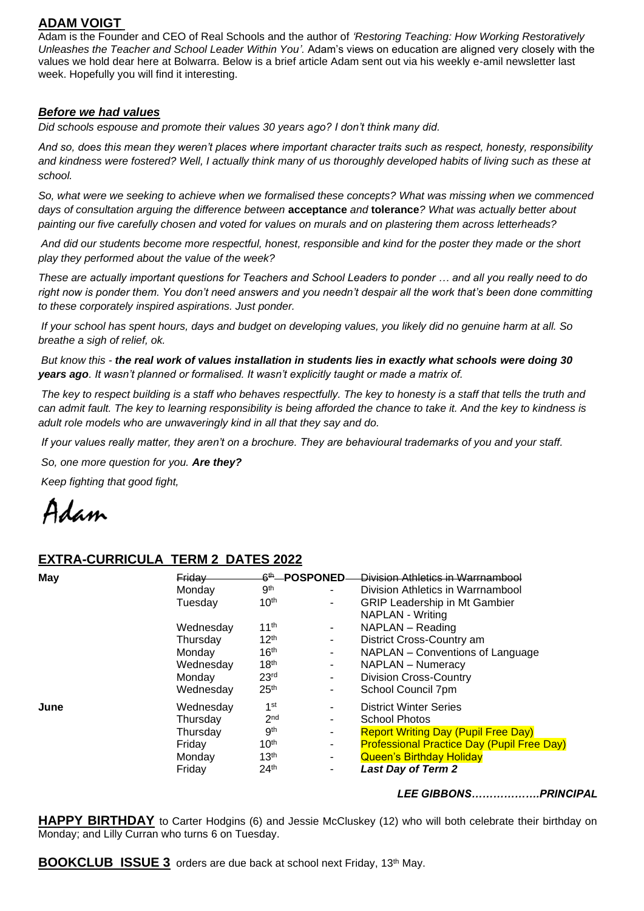## **ADAM VOIGT**

Adam is the Founder and CEO of Real Schools and the author of *['Restoring Teaching: How](https://www.google.com/search?safe=active&rlz=1C1SXXQ_enAU742AU800&q=Restoring+Teaching:+How+Working+Restoratively+Unleashes+the+Teacher+and+School+Leader+Within+You+Adam+Voigt&stick=H4sIAAAAAAAAADWMvQrCMBSFVSh20cHR6eLoEqpIoZubg5O_OMb2kqRJcyVJlb6OTyE-nS3F7Tvf4Zx4OpswwZJEN1Ul0nWy-MfNKi3Lx3Ku84zdiTTjdZDkso49kDXNO9IH9IGcsgJOyHPZQgY7esGVnO5s3_OgnmgaOFuD3Ev0ECT2C3TAbQHHXBIZ2CMvWnNVob2CG9WwLXgFF1IifKLhdzyKBz-7u6BmsgAAAA&sa=X&ved=2ahUKEwjMuobvj8L3AhV28HMBHcxsCkEQmxMoAXoECDwQAw) Working Restoratively [Unleashes the Teacher and School Leader Within You'.](https://www.google.com/search?safe=active&rlz=1C1SXXQ_enAU742AU800&q=Restoring+Teaching:+How+Working+Restoratively+Unleashes+the+Teacher+and+School+Leader+Within+You+Adam+Voigt&stick=H4sIAAAAAAAAADWMvQrCMBSFVSh20cHR6eLoEqpIoZubg5O_OMb2kqRJcyVJlb6OTyE-nS3F7Tvf4Zx4OpswwZJEN1Ul0nWy-MfNKi3Lx3Ku84zdiTTjdZDkso49kDXNO9IH9IGcsgJOyHPZQgY7esGVnO5s3_OgnmgaOFuD3Ev0ECT2C3TAbQHHXBIZ2CMvWnNVob2CG9WwLXgFF1IifKLhdzyKBz-7u6BmsgAAAA&sa=X&ved=2ahUKEwjMuobvj8L3AhV28HMBHcxsCkEQmxMoAXoECDwQAw)* Adam's views on education are aligned very closely with the values we hold dear here at Bolwarra. Below is a brief article Adam sent out via his weekly e-amil newsletter last week. Hopefully you will find it interesting.

#### *Before we had values*

*Did schools espouse and promote their values 30 years ago? I don't think many did.*

*And so, does this mean they weren't places where important character traits such as respect, honesty, responsibility*  and kindness were fostered? Well, I actually think many of us thoroughly developed habits of living such as these at *school.*

*So, what were we seeking to achieve when we formalised these concepts? What was missing when we commenced days of consultation arguing the difference between* **acceptance** *and* **tolerance***? What was actually better about painting our five carefully chosen and voted for values on murals and on plastering them across letterheads?*

*And did our students become more respectful, honest, responsible and kind for the poster they made or the short play they performed about the value of the week?*

*These are actually important questions for Teachers and School Leaders to ponder … and all you really need to do*  right now is ponder them. You don't need answers and you needn't despair all the work that's been done committing *to these corporately inspired aspirations. Just ponder.*

*If your school has spent hours, days and budget on developing values, you likely did no genuine harm at all. So breathe a sigh of relief, ok.*

*But know this - the real work of values installation in students lies in exactly what schools were doing 30 years ago. It wasn't planned or formalised. It wasn't explicitly taught or made a matrix of.*

*The key to respect building is a staff who behaves respectfully. The key to honesty is a staff that tells the truth and*  can admit fault. The key to learning responsibility is being afforded the chance to take it. And the key to kindness is *adult role models who are unwaveringly kind in all that they say and do.*

*If your values really matter, they aren't on a brochure. They are behavioural trademarks of you and your staff.*

*So, one more question for you. Are they?*

*Keep fighting that good fight,*

Adam

### **EXTRA-CURRICULA TERM 2 DATES 2022**

| May  | Friday    |                  | ୫ <sup>th</sup> —POSPONED- | Division Athletics in Warrnambool                 |
|------|-----------|------------------|----------------------------|---------------------------------------------------|
|      | Monday    | gth              | ٠                          | Division Athletics in Warrnambool                 |
|      | Tuesday   | 10 <sup>th</sup> |                            | <b>GRIP Leadership in Mt Gambier</b>              |
|      |           |                  |                            | NAPLAN - Writing                                  |
|      | Wednesday | 11 <sup>th</sup> | ٠.                         | NAPLAN - Reading                                  |
|      | Thursday  | 12 <sup>th</sup> | ۰.                         | District Cross-Country am                         |
|      | Monday    | 16 <sup>th</sup> | ۰.                         | NAPLAN - Conventions of Language                  |
|      | Wednesday | 18 <sup>th</sup> | ۰                          | NAPLAN - Numeracy                                 |
|      | Monday    | 23 <sup>rd</sup> | ٠.                         | <b>Division Cross-Country</b>                     |
|      | Wednesday | 25 <sup>th</sup> | ٠                          | School Council 7pm                                |
| June | Wednesday | 1 <sup>st</sup>  |                            | <b>District Winter Series</b>                     |
|      | Thursday  | 2 <sub>nd</sub>  |                            | <b>School Photos</b>                              |
|      | Thursday  | gth              | ۰.                         | <b>Report Writing Day (Pupil Free Day)</b>        |
|      | Friday    | 10 <sup>th</sup> | ٠                          | <b>Professional Practice Day (Pupil Free Day)</b> |
|      | Monday    | 13 <sup>th</sup> | ٠                          | <b>Queen's Birthday Holiday</b>                   |
|      | Friday    | 24 <sup>th</sup> |                            | <b>Last Day of Term 2</b>                         |

*LEE GIBBONS……………….PRINCIPAL*

**HAPPY BIRTHDAY** to Carter Hodgins (6) and Jessie McCluskey (12) who will both celebrate their birthday on Monday; and Lilly Curran who turns 6 on Tuesday.

**BOOKCLUB ISSUE 3** orders are due back at school next Friday, 13<sup>th</sup> May.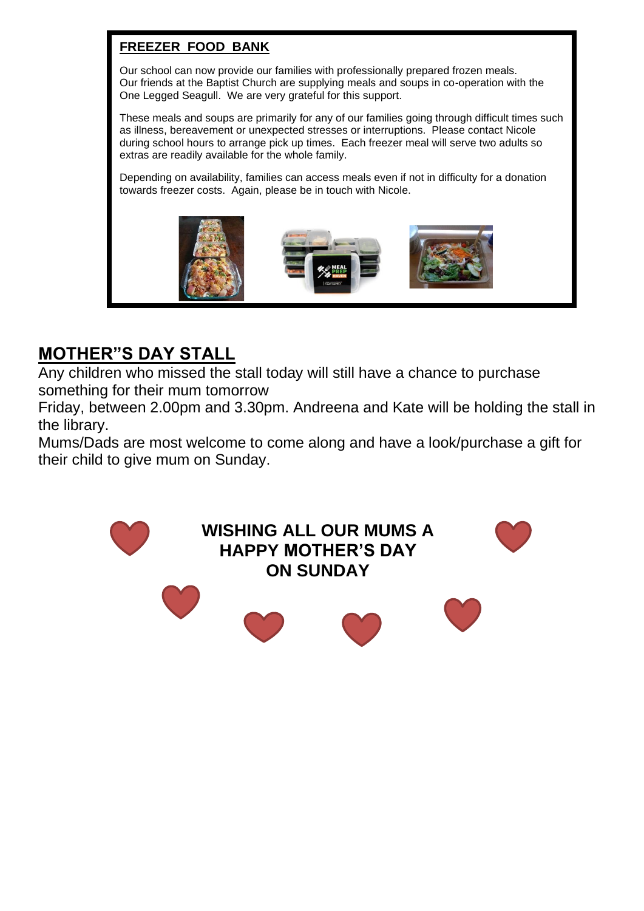# **FREEZER FOOD BANK**

Our school can now provide our families with professionally prepared frozen meals. Our friends at the Baptist Church are supplying meals and soups in co-operation with the One Legged Seagull. We are very grateful for this support.

These meals and soups are primarily for any of our families going through difficult times such as illness, bereavement or unexpected stresses or interruptions. Please contact Nicole during school hours to arrange pick up times. Each freezer meal will serve two adults so extras are readily available for the whole family.

Depending on availability, families can access meals even if not in difficulty for a donation towards freezer costs. Again, please be in touch with Nicole.



# **MOTHER"S DAY STALL**

Any children who missed the stall today will still have a chance to purchase something for their mum tomorrow

Friday, between 2.00pm and 3.30pm. Andreena and Kate will be holding the stall in the library.

Mums/Dads are most welcome to come along and have a look/purchase a gift for their child to give mum on Sunday.